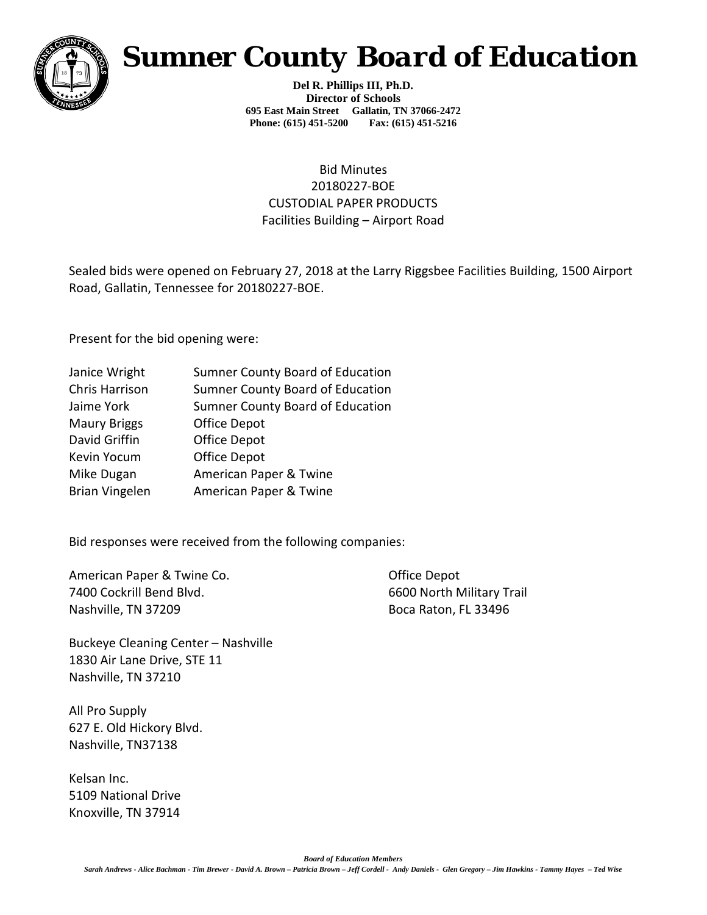

# *Sumner County Board of Education*

**Del R. Phillips III, Ph.D. Director of Schools 695 East Main Street Gallatin, TN 37066-2472 Phone: (615) 451-5200 Fax: (615) 451-5216** 

### Bid Minutes 20180227-BOE CUSTODIAL PAPER PRODUCTS Facilities Building – Airport Road

Sealed bids were opened on February 27, 2018 at the Larry Riggsbee Facilities Building, 1500 Airport Road, Gallatin, Tennessee for 20180227-BOE.

Present for the bid opening were:

| Janice Wright         | <b>Sumner County Board of Education</b> |
|-----------------------|-----------------------------------------|
| Chris Harrison        | <b>Sumner County Board of Education</b> |
| Jaime York            | <b>Sumner County Board of Education</b> |
| <b>Maury Briggs</b>   | Office Depot                            |
| David Griffin         | <b>Office Depot</b>                     |
| Kevin Yocum           | <b>Office Depot</b>                     |
| Mike Dugan            | American Paper & Twine                  |
| <b>Brian Vingelen</b> | American Paper & Twine                  |
|                       |                                         |

Bid responses were received from the following companies:

American Paper & Twine Co. **Communist Contract Contract Contract Contract Contract Contract Contract Contract Contract Contract Contract Contract Contract Contract Contract Contract Contract Contract Contract Contract Cont** 7400 Cockrill Bend Blvd. 6600 North Military Trail Nashville, TN 37209 Boca Raton, FL 33496

Buckeye Cleaning Center – Nashville 1830 Air Lane Drive, STE 11 Nashville, TN 37210

All Pro Supply 627 E. Old Hickory Blvd. Nashville, TN37138

Kelsan Inc. 5109 National Drive Knoxville, TN 37914